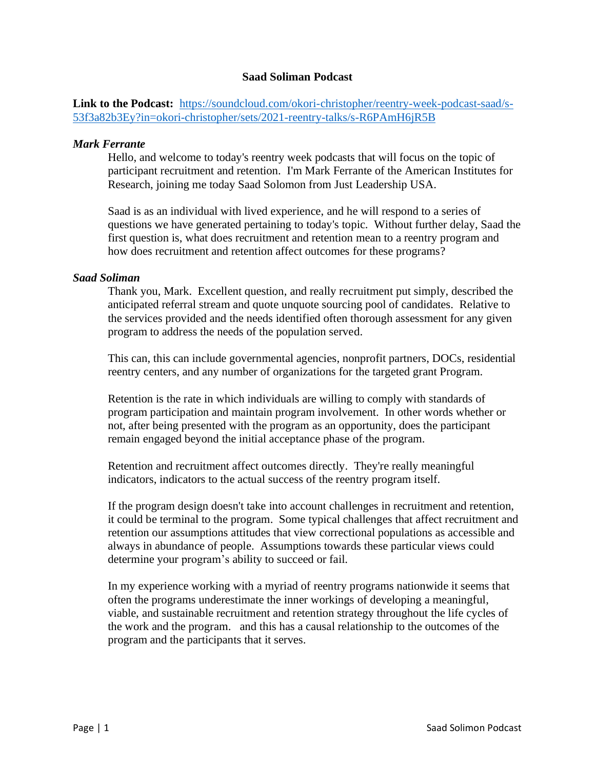# **Saad Soliman Podcast**

**Link to the Podcast:** [https://soundcloud.com/okori-christopher/reentry-week-podcast-saad/s-](https://soundcloud.com/okori-christopher/reentry-week-podcast-saad/s-53f3a82b3Ey?in=okori-christopher/sets/2021-reentry-talks/s-R6PAmH6jR5B)[53f3a82b3Ey?in=okori-christopher/sets/2021-reentry-talks/s-R6PAmH6jR5B](https://soundcloud.com/okori-christopher/reentry-week-podcast-saad/s-53f3a82b3Ey?in=okori-christopher/sets/2021-reentry-talks/s-R6PAmH6jR5B)

# *Mark Ferrante*

Hello, and welcome to today's reentry week podcasts that will focus on the topic of participant recruitment and retention. I'm Mark Ferrante of the American Institutes for Research, joining me today Saad Solomon from Just Leadership USA.

Saad is as an individual with lived experience, and he will respond to a series of questions we have generated pertaining to today's topic. Without further delay, Saad the first question is, what does recruitment and retention mean to a reentry program and how does recruitment and retention affect outcomes for these programs?

# *Saad Soliman*

Thank you, Mark. Excellent question, and really recruitment put simply, described the anticipated referral stream and quote unquote sourcing pool of candidates. Relative to the services provided and the needs identified often thorough assessment for any given program to address the needs of the population served.

This can, this can include governmental agencies, nonprofit partners, DOCs, residential reentry centers, and any number of organizations for the targeted grant Program.

Retention is the rate in which individuals are willing to comply with standards of program participation and maintain program involvement. In other words whether or not, after being presented with the program as an opportunity, does the participant remain engaged beyond the initial acceptance phase of the program.

Retention and recruitment affect outcomes directly. They're really meaningful indicators, indicators to the actual success of the reentry program itself.

If the program design doesn't take into account challenges in recruitment and retention, it could be terminal to the program. Some typical challenges that affect recruitment and retention our assumptions attitudes that view correctional populations as accessible and always in abundance of people. Assumptions towards these particular views could determine your program's ability to succeed or fail.

In my experience working with a myriad of reentry programs nationwide it seems that often the programs underestimate the inner workings of developing a meaningful, viable, and sustainable recruitment and retention strategy throughout the life cycles of the work and the program. and this has a causal relationship to the outcomes of the program and the participants that it serves.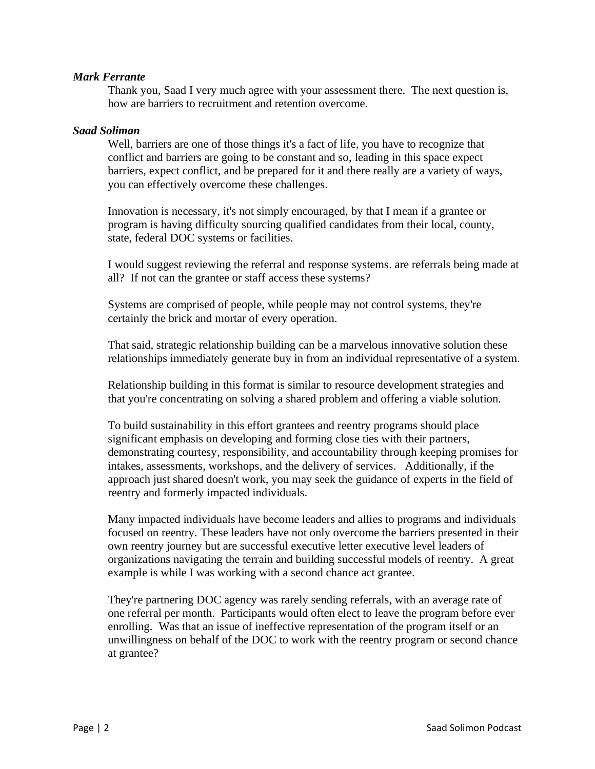# *Mark Ferrante*

Thank you, Saad I very much agree with your assessment there. The next question is, how are barriers to recruitment and retention overcome.

# *Saad Soliman*

Well, barriers are one of those things it's a fact of life, you have to recognize that conflict and barriers are going to be constant and so, leading in this space expect barriers, expect conflict, and be prepared for it and there really are a variety of ways, you can effectively overcome these challenges.

Innovation is necessary, it's not simply encouraged, by that I mean if a grantee or program is having difficulty sourcing qualified candidates from their local, county, state, federal DOC systems or facilities.

I would suggest reviewing the referral and response systems. are referrals being made at all? If not can the grantee or staff access these systems?

Systems are comprised of people, while people may not control systems, they're certainly the brick and mortar of every operation.

That said, strategic relationship building can be a marvelous innovative solution these relationships immediately generate buy in from an individual representative of a system.

Relationship building in this format is similar to resource development strategies and that you're concentrating on solving a shared problem and offering a viable solution.

To build sustainability in this effort grantees and reentry programs should place significant emphasis on developing and forming close ties with their partners, demonstrating courtesy, responsibility, and accountability through keeping promises for intakes, assessments, workshops, and the delivery of services. Additionally, if the approach just shared doesn't work, you may seek the guidance of experts in the field of reentry and formerly impacted individuals.

Many impacted individuals have become leaders and allies to programs and individuals focused on reentry. These leaders have not only overcome the barriers presented in their own reentry journey but are successful executive letter executive level leaders of organizations navigating the terrain and building successful models of reentry. A great example is while I was working with a second chance act grantee.

They're partnering DOC agency was rarely sending referrals, with an average rate of one referral per month. Participants would often elect to leave the program before ever enrolling. Was that an issue of ineffective representation of the program itself or an unwillingness on behalf of the DOC to work with the reentry program or second chance at grantee?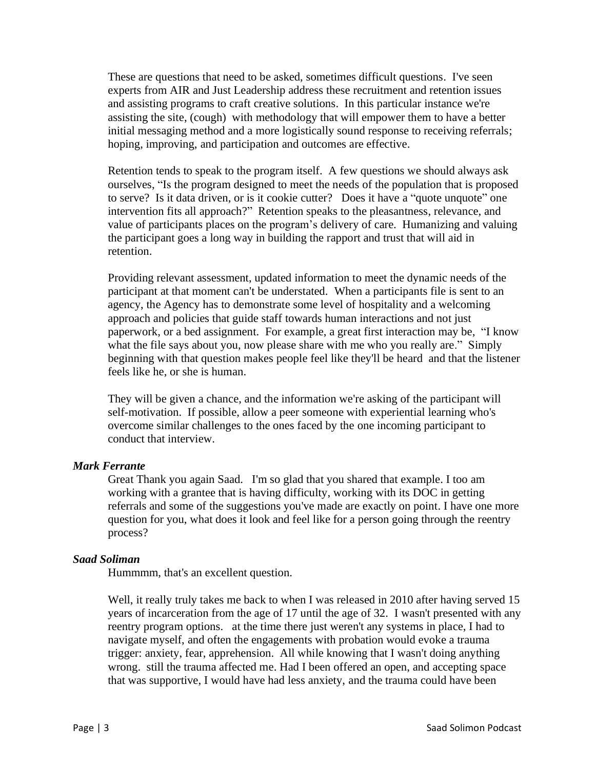These are questions that need to be asked, sometimes difficult questions. I've seen experts from AIR and Just Leadership address these recruitment and retention issues and assisting programs to craft creative solutions. In this particular instance we're assisting the site, (cough) with methodology that will empower them to have a better initial messaging method and a more logistically sound response to receiving referrals; hoping, improving, and participation and outcomes are effective.

Retention tends to speak to the program itself. A few questions we should always ask ourselves, "Is the program designed to meet the needs of the population that is proposed to serve? Is it data driven, or is it cookie cutter? Does it have a "quote unquote" one intervention fits all approach?" Retention speaks to the pleasantness, relevance, and value of participants places on the program's delivery of care. Humanizing and valuing the participant goes a long way in building the rapport and trust that will aid in retention.

Providing relevant assessment, updated information to meet the dynamic needs of the participant at that moment can't be understated. When a participants file is sent to an agency, the Agency has to demonstrate some level of hospitality and a welcoming approach and policies that guide staff towards human interactions and not just paperwork, or a bed assignment. For example, a great first interaction may be, "I know what the file says about you, now please share with me who you really are." Simply beginning with that question makes people feel like they'll be heard and that the listener feels like he, or she is human.

They will be given a chance, and the information we're asking of the participant will self-motivation. If possible, allow a peer someone with experiential learning who's overcome similar challenges to the ones faced by the one incoming participant to conduct that interview.

#### *Mark Ferrante*

Great Thank you again Saad. I'm so glad that you shared that example. I too am working with a grantee that is having difficulty, working with its DOC in getting referrals and some of the suggestions you've made are exactly on point. I have one more question for you, what does it look and feel like for a person going through the reentry process?

#### *Saad Soliman*

Hummmm, that's an excellent question.

Well, it really truly takes me back to when I was released in 2010 after having served 15 years of incarceration from the age of 17 until the age of 32. I wasn't presented with any reentry program options. at the time there just weren't any systems in place, I had to navigate myself, and often the engagements with probation would evoke a trauma trigger: anxiety, fear, apprehension. All while knowing that I wasn't doing anything wrong. still the trauma affected me. Had I been offered an open, and accepting space that was supportive, I would have had less anxiety, and the trauma could have been